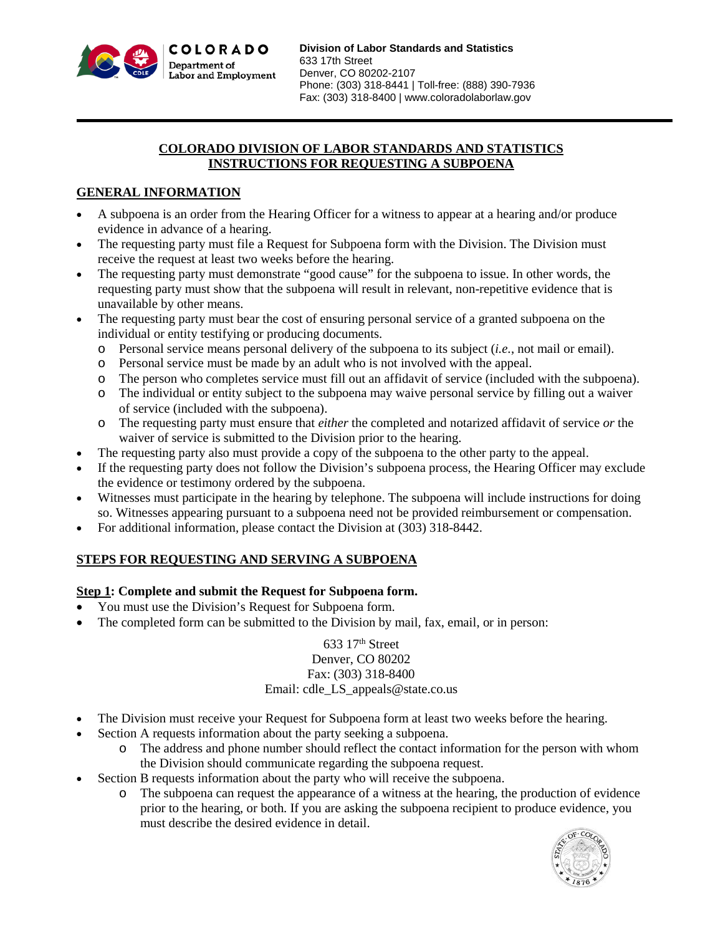

### **COLORADO DIVISION OF LABOR STANDARDS AND STATISTICS INSTRUCTIONS FOR REQUESTING A SUBPOENA**

## **GENERAL INFORMATION**

- A subpoena is an order from the Hearing Officer for a witness to appear at a hearing and/or produce evidence in advance of a hearing.
- The requesting party must file a Request for Subpoena form with the Division. The Division must receive the request at least two weeks before the hearing.
- The requesting party must demonstrate "good cause" for the subpoena to issue. In other words, the requesting party must show that the subpoena will result in relevant, non-repetitive evidence that is unavailable by other means.
- The requesting party must bear the cost of ensuring personal service of a granted subpoena on the individual or entity testifying or producing documents.
	- o Personal service means personal delivery of the subpoena to its subject (*i.e.*, not mail or email).
	- o Personal service must be made by an adult who is not involved with the appeal.
	- o The person who completes service must fill out an affidavit of service (included with the subpoena).
	- o The individual or entity subject to the subpoena may waive personal service by filling out a waiver of service (included with the subpoena).
	- o The requesting party must ensure that *either* the completed and notarized affidavit of service *or* the waiver of service is submitted to the Division prior to the hearing.
- The requesting party also must provide a copy of the subpoena to the other party to the appeal.
- If the requesting party does not follow the Division's subpoena process, the Hearing Officer may exclude the evidence or testimony ordered by the subpoena.
- Witnesses must participate in the hearing by telephone. The subpoena will include instructions for doing so. Witnesses appearing pursuant to a subpoena need not be provided reimbursement or compensation.
- For additional information, please contact the Division at (303) 318-8442.

# **STEPS FOR REQUESTING AND SERVING A SUBPOENA**

### **Step 1: Complete and submit the Request for Subpoena form.**

- You must use the Division's Request for Subpoena form.
- The completed form can be submitted to the Division by mail, fax, email, or in person:

### 633 17th Street Denver, CO 80202 Fax: (303) 318-8400 Email: cdle\_LS\_appeals@state.co.us

- The Division must receive your Request for Subpoena form at least two weeks before the hearing.
- Section A requests information about the party seeking a subpoena.
	- o The address and phone number should reflect the contact information for the person with whom the Division should communicate regarding the subpoena request.
- Section B requests information about the party who will receive the subpoena.
	- o The subpoena can request the appearance of a witness at the hearing, the production of evidence prior to the hearing, or both. If you are asking the subpoena recipient to produce evidence, you must describe the desired evidence in detail.